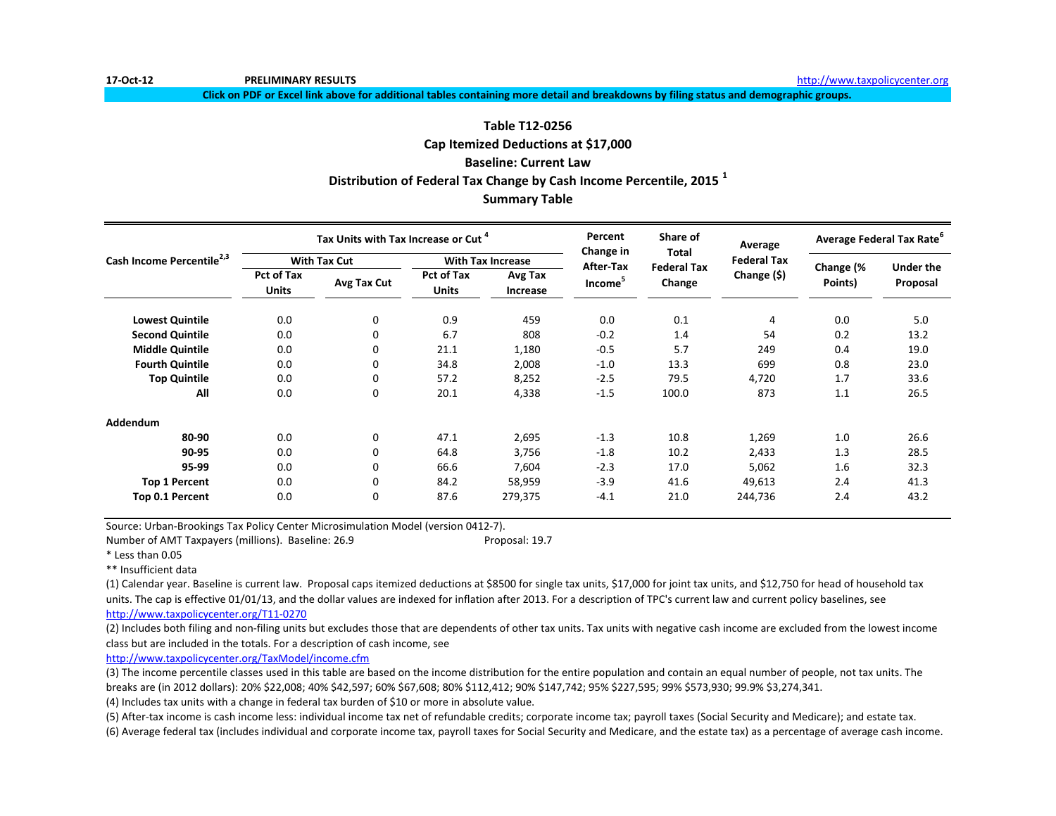**Click on PDF or Excel link above for additional tables containing more detail and breakdowns by filing status and demographic groups.**

# **Table T12-0256**

**Distribution of Federal Tax Change by Cash Income Percentile, 2015 <sup>1</sup> Summary Table Cap Itemized Deductions at \$17,000 Baseline: Current Law**

|                                       |                            | Tax Units with Tax Increase or Cut <sup>4</sup> |                                   |                          | Percent                | Share of<br>Total            | Average            | Average Federal Tax Rate <sup>o</sup> |                              |
|---------------------------------------|----------------------------|-------------------------------------------------|-----------------------------------|--------------------------|------------------------|------------------------------|--------------------|---------------------------------------|------------------------------|
| Cash Income Percentile <sup>2,3</sup> |                            | <b>With Tax Cut</b>                             |                                   | <b>With Tax Increase</b> | Change in<br>After-Tax |                              | <b>Federal Tax</b> |                                       |                              |
|                                       | <b>Pct of Tax</b><br>Units | Avg Tax Cut                                     | <b>Pct of Tax</b><br><b>Units</b> | Avg Tax<br>Increase      | Income <sup>5</sup>    | <b>Federal Tax</b><br>Change | Change (\$)        | Change (%<br>Points)                  | <b>Under the</b><br>Proposal |
| <b>Lowest Quintile</b>                | 0.0                        | 0                                               | 0.9                               | 459                      | 0.0                    | 0.1                          | 4                  | 0.0                                   | 5.0                          |
| <b>Second Quintile</b>                | 0.0                        | 0                                               | 6.7                               | 808                      | $-0.2$                 | 1.4                          | 54                 | 0.2                                   | 13.2                         |
| <b>Middle Quintile</b>                | 0.0                        | 0                                               | 21.1                              | 1,180                    | $-0.5$                 | 5.7                          | 249                | 0.4                                   | 19.0                         |
| <b>Fourth Quintile</b>                | 0.0                        | 0                                               | 34.8                              | 2,008                    | $-1.0$                 | 13.3                         | 699                | 0.8                                   | 23.0                         |
| <b>Top Quintile</b>                   | 0.0                        | 0                                               | 57.2                              | 8,252                    | $-2.5$                 | 79.5                         | 4,720              | 1.7                                   | 33.6                         |
| All                                   | 0.0                        | 0                                               | 20.1                              | 4,338                    | $-1.5$                 | 100.0                        | 873                | 1.1                                   | 26.5                         |
| <b>Addendum</b>                       |                            |                                                 |                                   |                          |                        |                              |                    |                                       |                              |
| 80-90                                 | 0.0                        | 0                                               | 47.1                              | 2,695                    | $-1.3$                 | 10.8                         | 1,269              | 1.0                                   | 26.6                         |
| 90-95                                 | 0.0                        | 0                                               | 64.8                              | 3,756                    | $-1.8$                 | 10.2                         | 2,433              | 1.3                                   | 28.5                         |
| 95-99                                 | 0.0                        | 0                                               | 66.6                              | 7,604                    | $-2.3$                 | 17.0                         | 5,062              | 1.6                                   | 32.3                         |
| <b>Top 1 Percent</b>                  | 0.0                        | 0                                               | 84.2                              | 58,959                   | $-3.9$                 | 41.6                         | 49,613             | 2.4                                   | 41.3                         |
| Top 0.1 Percent                       | 0.0                        | 0                                               | 87.6                              | 279,375                  | $-4.1$                 | 21.0                         | 244,736            | 2.4                                   | 43.2                         |

Source: Urban-Brookings Tax Policy Center Microsimulation Model (version 0412-7).

Number of AMT Taxpayers (millions). Baseline: 26.9 Proposal: 19.7 Proposal: 19.7

\* Less than 0.05

\*\* Insufficient data

(1) Calendar year. Baseline is current law. Proposal caps itemized deductions at \$8500 for single tax units, \$17,000 for joint tax units, and \$12,750 for head of household tax units. The cap is effective 01/01/13, and the dollar values are indexed for inflation after 2013. For a description of TPC's current law and current policy baselines, see [http://www.taxpolicycente](http://www.taxpolicycenter.org/T11-0270)r.org/T11-0270

(2) Includes both filing and non-filing units but excludes those that are dependents of other tax units. Tax units with negative cash income are excluded from the lowest income class but are included in the totals. For a description of cash income, see

[http://www.taxpolicycente](http://www.taxpolicycenter.org/TaxModel/income.cfm)r.org/TaxModel/income.cfm

(3) The income percentile classes used in this table are based on the income distribution for the entire population and contain an equal number of people, not tax units. The breaks are (in 2012 dollars): 20% \$22,008; 40% \$42,597; 60% \$67,608; 80% \$112,412; 90% \$147,742; 95% \$227,595; 99% \$573,930; 99.9% \$3,274,341.

(4) Includes tax units with a change in federal tax burden of \$10 or more in absolute value.

(5) After-tax income is cash income less: individual income tax net of refundable credits; corporate income tax; payroll taxes (Social Security and Medicare); and estate tax.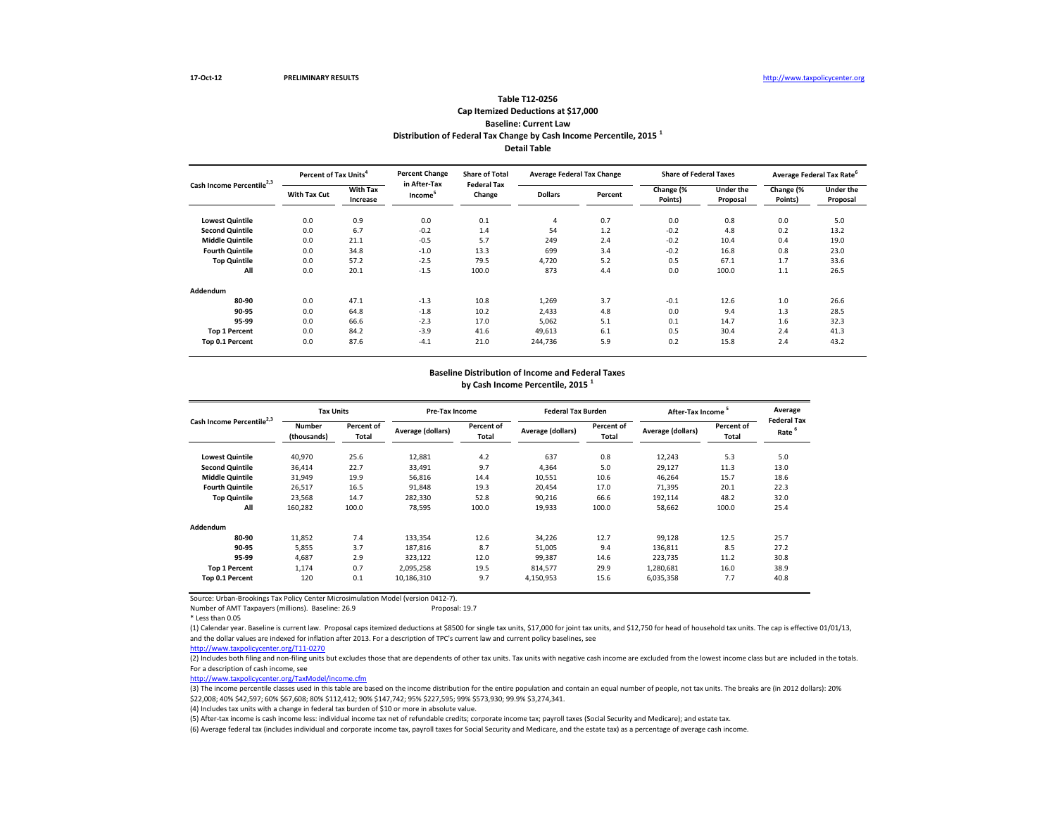# **Detail Table Table T12-0256 Cap Itemized Deductions at \$17,000 Baseline: Current Law Distribution of Federal Tax Change by Cash Income Percentile, 2015 <sup>1</sup>**

| Cash Income Percentile <sup>2,3</sup> | Percent of Tax Units <sup>4</sup> |                             | <b>Percent Change</b><br>in After-Tax | <b>Share of Total</b><br><b>Federal Tax</b> | <b>Average Federal Tax Change</b> |         | <b>Share of Federal Taxes</b> |                              |                      | Average Federal Tax Rate     |
|---------------------------------------|-----------------------------------|-----------------------------|---------------------------------------|---------------------------------------------|-----------------------------------|---------|-------------------------------|------------------------------|----------------------|------------------------------|
|                                       | With Tax Cut                      | <b>With Tax</b><br>Increase | Income <sup>3</sup>                   | Change                                      | <b>Dollars</b>                    | Percent | Change (%<br>Points)          | <b>Under the</b><br>Proposal | Change (%<br>Points) | <b>Under the</b><br>Proposal |
| <b>Lowest Quintile</b>                | 0.0                               | 0.9                         | 0.0                                   | 0.1                                         | 4                                 | 0.7     | 0.0                           | 0.8                          | 0.0                  | 5.0                          |
| <b>Second Quintile</b>                | 0.0                               | 6.7                         | $-0.2$                                | 1.4                                         | 54                                | 1.2     | $-0.2$                        | 4.8                          | 0.2                  | 13.2                         |
| <b>Middle Quintile</b>                | 0.0                               | 21.1                        | $-0.5$                                | 5.7                                         | 249                               | 2.4     | $-0.2$                        | 10.4                         | 0.4                  | 19.0                         |
| <b>Fourth Quintile</b>                | 0.0                               | 34.8                        | $-1.0$                                | 13.3                                        | 699                               | 3.4     | $-0.2$                        | 16.8                         | 0.8                  | 23.0                         |
| <b>Top Quintile</b>                   | 0.0                               | 57.2                        | $-2.5$                                | 79.5                                        | 4.720                             | 5.2     | 0.5                           | 67.1                         | 1.7                  | 33.6                         |
| All                                   | 0.0                               | 20.1                        | $-1.5$                                | 100.0                                       | 873                               | 4.4     | 0.0                           | 100.0                        | 1.1                  | 26.5                         |
| Addendum                              |                                   |                             |                                       |                                             |                                   |         |                               |                              |                      |                              |
| 80-90                                 | 0.0                               | 47.1                        | $-1.3$                                | 10.8                                        | 1,269                             | 3.7     | $-0.1$                        | 12.6                         | 1.0                  | 26.6                         |
| 90-95                                 | 0.0                               | 64.8                        | $-1.8$                                | 10.2                                        | 2,433                             | 4.8     | 0.0                           | 9.4                          | 1.3                  | 28.5                         |
| 95-99                                 | 0.0                               | 66.6                        | $-2.3$                                | 17.0                                        | 5,062                             | 5.1     | 0.1                           | 14.7                         | 1.6                  | 32.3                         |
| <b>Top 1 Percent</b>                  | 0.0                               | 84.2                        | $-3.9$                                | 41.6                                        | 49,613                            | 6.1     | 0.5                           | 30.4                         | 2.4                  | 41.3                         |
| Top 0.1 Percent                       | 0.0                               | 87.6                        | $-4.1$                                | 21.0                                        | 244,736                           | 5.9     | 0.2                           | 15.8                         | 2.4                  | 43.2                         |

### **Baseline Distribution of Income and Federal Taxes**

**by Cash Income Percentile, 2015 <sup>1</sup>**

| Cash Income Percentile <sup>2,3</sup> |                              | <b>Tax Units</b>    |                   | Pre-Tax Income      |                   | <b>Federal Tax Burden</b>  | After-Tax Income  |                     | Average                                 |
|---------------------------------------|------------------------------|---------------------|-------------------|---------------------|-------------------|----------------------------|-------------------|---------------------|-----------------------------------------|
|                                       | <b>Number</b><br>(thousands) | Percent of<br>Total | Average (dollars) | Percent of<br>Total | Average (dollars) | Percent of<br><b>Total</b> | Average (dollars) | Percent of<br>Total | <b>Federal Tax</b><br>Rate <sup>6</sup> |
| <b>Lowest Quintile</b>                | 40,970                       | 25.6                | 12,881            | 4.2                 | 637               | 0.8                        | 12,243            | 5.3                 | 5.0                                     |
| <b>Second Quintile</b>                | 36,414                       | 22.7                | 33,491            | 9.7                 | 4,364             | 5.0                        | 29,127            | 11.3                | 13.0                                    |
| <b>Middle Quintile</b>                | 31,949                       | 19.9                | 56.816            | 14.4                | 10,551            | 10.6                       | 46,264            | 15.7                | 18.6                                    |
| <b>Fourth Quintile</b>                | 26,517                       | 16.5                | 91,848            | 19.3                | 20,454            | 17.0                       | 71,395            | 20.1                | 22.3                                    |
| <b>Top Quintile</b>                   | 23,568                       | 14.7                | 282,330           | 52.8                | 90,216            | 66.6                       | 192,114           | 48.2                | 32.0                                    |
| All                                   | 160,282                      | 100.0               | 78,595            | 100.0               | 19,933            | 100.0                      | 58,662            | 100.0               | 25.4                                    |
| Addendum                              |                              |                     |                   |                     |                   |                            |                   |                     |                                         |
| 80-90                                 | 11,852                       | 7.4                 | 133,354           | 12.6                | 34,226            | 12.7                       | 99,128            | 12.5                | 25.7                                    |
| 90-95                                 | 5,855                        | 3.7                 | 187,816           | 8.7                 | 51,005            | 9.4                        | 136,811           | 8.5                 | 27.2                                    |
| 95-99                                 | 4,687                        | 2.9                 | 323,122           | 12.0                | 99,387            | 14.6                       | 223,735           | 11.2                | 30.8                                    |
| <b>Top 1 Percent</b>                  | 1.174                        | 0.7                 | 2.095.258         | 19.5                | 814.577           | 29.9                       | 1,280,681         | 16.0                | 38.9                                    |
| Top 0.1 Percent                       | 120                          | 0.1                 | 10,186,310        | 9.7                 | 4,150,953         | 15.6                       | 6,035,358         | 7.7                 | 40.8                                    |

Source: Urban-Brookings Tax Policy Center Microsimulation Model (version 0412-7).

Number of AMT Taxpayers (millions). Baseline: 26.9

\* Less than 0.05

(1) Calendar year. Baseline is current law. Proposal caps itemized deductions at \$8500 for single tax units, \$17,000 for joint tax units, and \$12,750 for head of household tax units. The cap is effective 01/01/13, and the dollar values are indexed for inflation after 2013. For a description of TPC's current law and current policy baselines, see

[http://www.taxpolicycente](http://www.taxpolicycenter.org/T11-0270)r.org/T11-0270

(2) Includes both filing and non-filing units but excludes those that are dependents of other tax units. Tax units with negative cash income are excluded from the lowest income class but are included in the totals. For a description of cash income, see

[http://www.taxpolicycente](http://www.taxpolicycenter.org/TaxModel/income.cfm)r.org/TaxModel/income.cfm

(3) The income percentile classes used in this table are based on the income distribution for the entire population and contain an equal number of people, not tax units. The breaks are (in 2012 dollars): 20% \$22,008; 40% \$42,597; 60% \$67,608; 80% \$112,412; 90% \$147,742; 95% \$227,595; 99% \$573,930; 99.9% \$3,274,341.

(4) Includes tax units with a change in federal tax burden of \$10 or more in absolute value.

(5) After-tax income is cash income less: individual income tax net of refundable credits; corporate income tax; payroll taxes (Social Security and Medicare); and estate tax.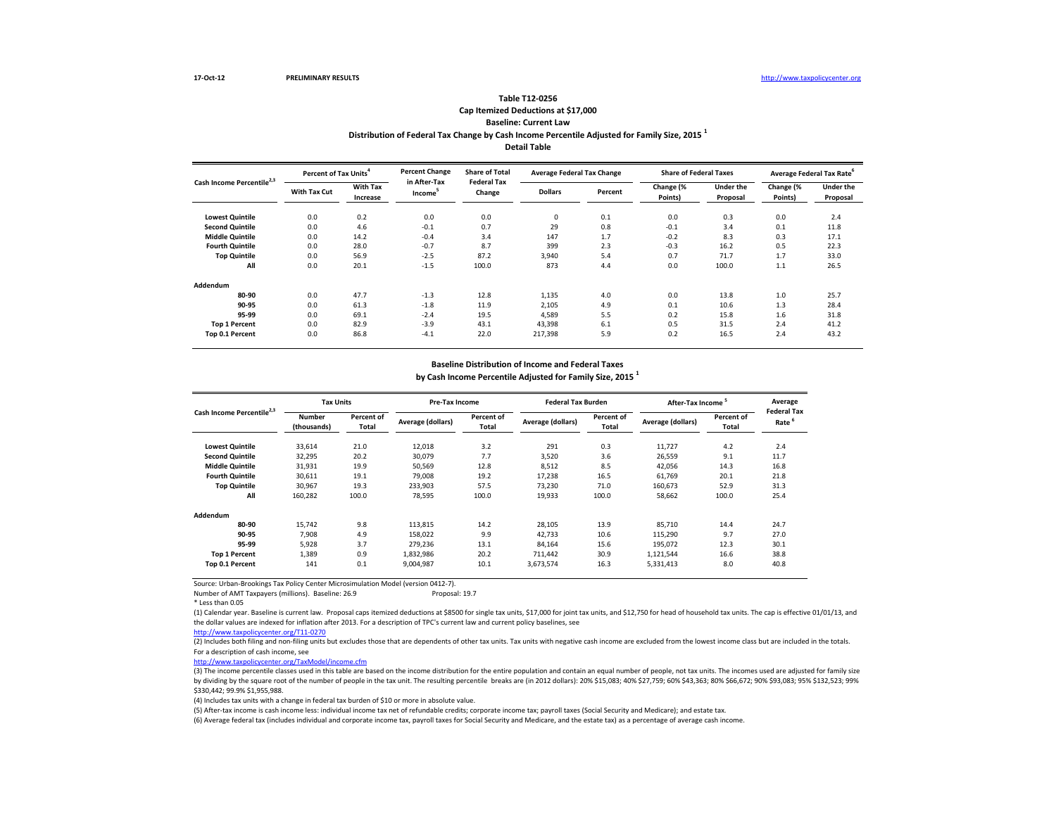## **Distribution of Federal Tax Change by Cash Income Percentile Adjusted for Family Size, 2015 <sup>1</sup> Detail Table Table T12-0256 Cap Itemized Deductions at \$17,000 Baseline: Current Law**

| Cash Income Percentile <sup>2,3</sup> | Percent of Tax Units <sup>4</sup> |                             | <b>Percent Change</b><br>in After-Tax | <b>Share of Total</b><br><b>Federal Tax</b> | <b>Average Federal Tax Change</b> |         | <b>Share of Federal Taxes</b> |                       | Average Federal Tax Rate <sup>o</sup> |                              |
|---------------------------------------|-----------------------------------|-----------------------------|---------------------------------------|---------------------------------------------|-----------------------------------|---------|-------------------------------|-----------------------|---------------------------------------|------------------------------|
|                                       | With Tax Cut                      | <b>With Tax</b><br>Increase | Income <sup>5</sup>                   | Change                                      | <b>Dollars</b>                    | Percent | Change (%<br>Points)          | Under the<br>Proposal | Change (%<br>Points)                  | <b>Under the</b><br>Proposal |
| <b>Lowest Quintile</b>                | 0.0                               | 0.2                         | 0.0                                   | 0.0                                         | $\mathbf 0$                       | 0.1     | 0.0                           | 0.3                   | 0.0                                   | 2.4                          |
| <b>Second Quintile</b>                | 0.0                               | 4.6                         | $-0.1$                                | 0.7                                         | 29                                | 0.8     | $-0.1$                        | 3.4                   | 0.1                                   | 11.8                         |
| <b>Middle Quintile</b>                | 0.0                               | 14.2                        | $-0.4$                                | 3.4                                         | 147                               | 1.7     | $-0.2$                        | 8.3                   | 0.3                                   | 17.1                         |
| <b>Fourth Quintile</b>                | 0.0                               | 28.0                        | $-0.7$                                | 8.7                                         | 399                               | 2.3     | $-0.3$                        | 16.2                  | 0.5                                   | 22.3                         |
| <b>Top Quintile</b>                   | 0.0                               | 56.9                        | $-2.5$                                | 87.2                                        | 3,940                             | 5.4     | 0.7                           | 71.7                  | 1.7                                   | 33.0                         |
| All                                   | 0.0                               | 20.1                        | $-1.5$                                | 100.0                                       | 873                               | 4.4     | 0.0                           | 100.0                 | 1.1                                   | 26.5                         |
| Addendum                              |                                   |                             |                                       |                                             |                                   |         |                               |                       |                                       |                              |
| 80-90                                 | 0.0                               | 47.7                        | $-1.3$                                | 12.8                                        | 1,135                             | 4.0     | 0.0                           | 13.8                  | 1.0                                   | 25.7                         |
| 90-95                                 | 0.0                               | 61.3                        | $-1.8$                                | 11.9                                        | 2,105                             | 4.9     | 0.1                           | 10.6                  | 1.3                                   | 28.4                         |
| 95-99                                 | 0.0                               | 69.1                        | $-2.4$                                | 19.5                                        | 4,589                             | 5.5     | 0.2                           | 15.8                  | 1.6                                   | 31.8                         |
| <b>Top 1 Percent</b>                  | 0.0                               | 82.9                        | $-3.9$                                | 43.1                                        | 43,398                            | 6.1     | 0.5                           | 31.5                  | 2.4                                   | 41.2                         |
| Top 0.1 Percent                       | 0.0                               | 86.8                        | $-4.1$                                | 22.0                                        | 217.398                           | 5.9     | 0.2                           | 16.5                  | 2.4                                   | 43.2                         |

### **Baseline Distribution of Income and Federal Taxes**

**by Cash Income Percentile Adjusted for Family Size, 2015 <sup>1</sup>**

| Cash Income Percentile <sup>2,3</sup> |                              | <b>Tax Units</b>    |                   | Pre-Tax Income      |                   | <b>Federal Tax Burden</b> | <b>After-Tax Income</b> |                     | Average                    |
|---------------------------------------|------------------------------|---------------------|-------------------|---------------------|-------------------|---------------------------|-------------------------|---------------------|----------------------------|
|                                       | <b>Number</b><br>(thousands) | Percent of<br>Total | Average (dollars) | Percent of<br>Total | Average (dollars) | Percent of<br>Total       | Average (dollars)       | Percent of<br>Total | <b>Federal Tax</b><br>Rate |
| <b>Lowest Quintile</b>                | 33,614                       | 21.0                | 12,018            | 3.2                 | 291               | 0.3                       | 11,727                  | 4.2                 | 2.4                        |
| <b>Second Quintile</b>                | 32,295                       | 20.2                | 30,079            | 7.7                 | 3,520             | 3.6                       | 26,559                  | 9.1                 | 11.7                       |
| <b>Middle Quintile</b>                | 31,931                       | 19.9                | 50.569            | 12.8                | 8,512             | 8.5                       | 42,056                  | 14.3                | 16.8                       |
| <b>Fourth Quintile</b>                | 30.611                       | 19.1                | 79,008            | 19.2                | 17,238            | 16.5                      | 61.769                  | 20.1                | 21.8                       |
| <b>Top Quintile</b>                   | 30.967                       | 19.3                | 233.903           | 57.5                | 73,230            | 71.0                      | 160,673                 | 52.9                | 31.3                       |
| All                                   | 160.282                      | 100.0               | 78.595            | 100.0               | 19,933            | 100.0                     | 58,662                  | 100.0               | 25.4                       |
| Addendum                              |                              |                     |                   |                     |                   |                           |                         |                     |                            |
| 80-90                                 | 15.742                       | 9.8                 | 113.815           | 14.2                | 28.105            | 13.9                      | 85,710                  | 14.4                | 24.7                       |
| 90-95                                 | 7,908                        | 4.9                 | 158,022           | 9.9                 | 42,733            | 10.6                      | 115,290                 | 9.7                 | 27.0                       |
| 95-99                                 | 5,928                        | 3.7                 | 279,236           | 13.1                | 84,164            | 15.6                      | 195,072                 | 12.3                | 30.1                       |
| <b>Top 1 Percent</b>                  | 1,389                        | 0.9                 | 1,832,986         | 20.2                | 711,442           | 30.9                      | 1,121,544               | 16.6                | 38.8                       |
| Top 0.1 Percent                       | 141                          | 0.1                 | 9,004,987         | 10.1                | 3,673,574         | 16.3                      | 5,331,413               | 8.0                 | 40.8                       |

Source: Urban-Brookings Tax Policy Center Microsimulation Model (version 0412-7). Number of AMT Taxpayers (millions). Baseline: 26.9

\* Less than 0.05

(1) Calendar year. Baseline is current law. Proposal caps itemized deductions at \$8500 for single tax units, \$17,000 for joint tax units, and \$12,750 for head of household tax units. The cap is effective 01/01/13, and the dollar values are indexed for inflation after 2013. For a description of TPC's current law and current policy baselines, see

[http://www.taxpolicycente](http://www.taxpolicycenter.org/T11-0270)r.org/T11-0270

(2) Includes both filing and non-filing units but excludes those that are dependents of other tax units. Tax units with negative cash income are excluded from the lowest income class but are included in the totals. For a description of cash income, see

[http://www.taxpolicycente](http://www.taxpolicycenter.org/TaxModel/income.cfm)r.org/TaxModel/income.cfm

(3) The income percentile classes used in this table are based on the income distribution for the entire population and contain an equal number of people, not tax units. The incomes used are adjusted for family size by dividing by the square root of the number of people in the tax unit. The resulting percentile breaks are (in 2012 dollars): 20% \$15,083; 40% \$27,759; 60% \$43,363; 80% \$66,672; 90% \$93,083; 95% \$132,523; 99% \$330,442; 99.9% \$1,955,988.

(4) Includes tax units with a change in federal tax burden of \$10 or more in absolute value.

(5) After-tax income is cash income less: individual income tax net of refundable credits; corporate income tax; payroll taxes (Social Security and Medicare); and estate tax.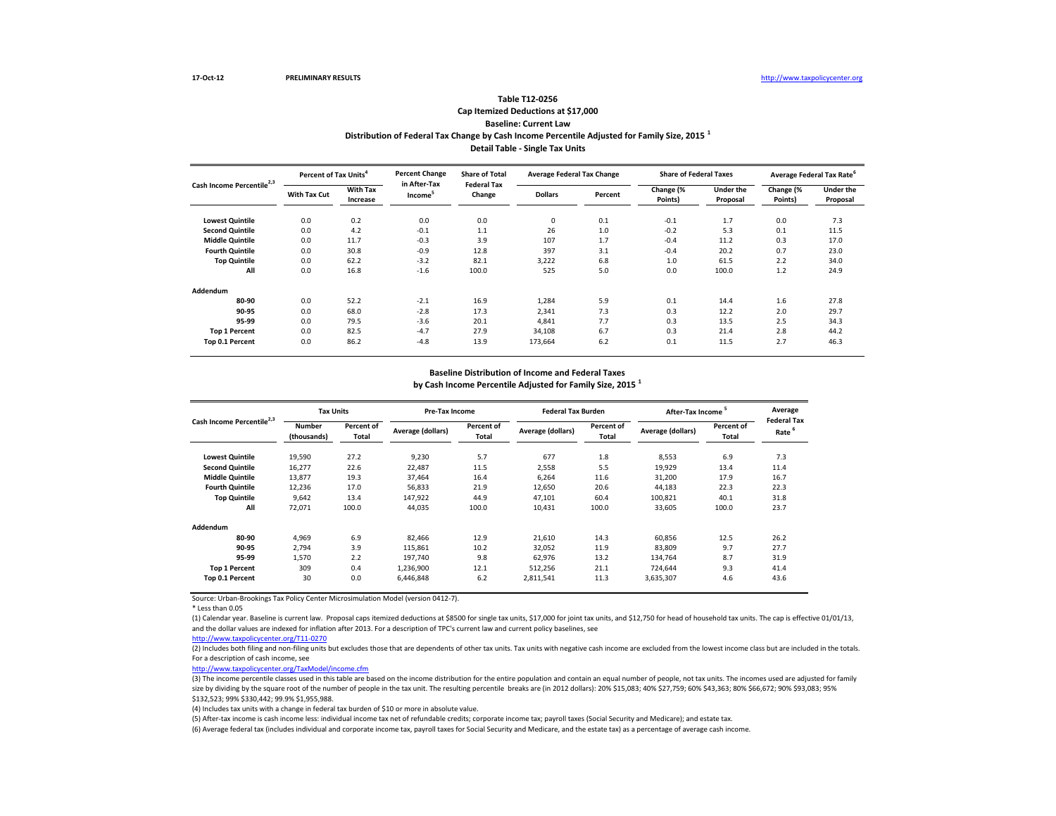# **Distribution of Federal Tax Change by Cash Income Percentile Adjusted for Family Size, 2015 <sup>1</sup> Detail Table - Single Tax Units Table T12-0256 Cap Itemized Deductions at \$17,000 Baseline: Current Law**

| Cash Income Percentile <sup>2,3</sup> | Percent of Tax Units <sup>4</sup> |                             | <b>Percent Change</b>               | <b>Share of Total</b><br><b>Federal Tax</b> | <b>Average Federal Tax Change</b> |         | <b>Share of Federal Taxes</b> |                              |                      | Average Federal Tax Rate <sup>6</sup> |
|---------------------------------------|-----------------------------------|-----------------------------|-------------------------------------|---------------------------------------------|-----------------------------------|---------|-------------------------------|------------------------------|----------------------|---------------------------------------|
|                                       | <b>With Tax Cut</b>               | <b>With Tax</b><br>Increase | in After-Tax<br>Income <sup>5</sup> | Change                                      | <b>Dollars</b>                    | Percent | Change (%<br>Points)          | <b>Under the</b><br>Proposal | Change (%<br>Points) | <b>Under the</b><br>Proposal          |
| <b>Lowest Quintile</b>                | 0.0                               | 0.2                         | 0.0                                 | 0.0                                         | 0                                 | 0.1     | $-0.1$                        | 1.7                          | 0.0                  | 7.3                                   |
| <b>Second Quintile</b>                | 0.0                               | 4.2                         | $-0.1$                              | 1.1                                         | 26                                | 1.0     | $-0.2$                        | 5.3                          | 0.1                  | 11.5                                  |
| <b>Middle Quintile</b>                | 0.0                               | 11.7                        | $-0.3$                              | 3.9                                         | 107                               | 1.7     | $-0.4$                        | 11.2                         | 0.3                  | 17.0                                  |
| <b>Fourth Quintile</b>                | 0.0                               | 30.8                        | $-0.9$                              | 12.8                                        | 397                               | 3.1     | $-0.4$                        | 20.2                         | 0.7                  | 23.0                                  |
| <b>Top Quintile</b>                   | 0.0                               | 62.2                        | $-3.2$                              | 82.1                                        | 3,222                             | 6.8     | 1.0                           | 61.5                         | 2.2                  | 34.0                                  |
| All                                   | 0.0                               | 16.8                        | $-1.6$                              | 100.0                                       | 525                               | 5.0     | 0.0                           | 100.0                        | 1.2                  | 24.9                                  |
| Addendum                              |                                   |                             |                                     |                                             |                                   |         |                               |                              |                      |                                       |
| 80-90                                 | 0.0                               | 52.2                        | $-2.1$                              | 16.9                                        | 1,284                             | 5.9     | 0.1                           | 14.4                         | 1.6                  | 27.8                                  |
| 90-95                                 | 0.0                               | 68.0                        | $-2.8$                              | 17.3                                        | 2,341                             | 7.3     | 0.3                           | 12.2                         | 2.0                  | 29.7                                  |
| 95-99                                 | 0.0                               | 79.5                        | $-3.6$                              | 20.1                                        | 4,841                             | 7.7     | 0.3                           | 13.5                         | 2.5                  | 34.3                                  |
| <b>Top 1 Percent</b>                  | 0.0                               | 82.5                        | $-4.7$                              | 27.9                                        | 34,108                            | 6.7     | 0.3                           | 21.4                         | 2.8                  | 44.2                                  |
| Top 0.1 Percent                       | 0.0                               | 86.2                        | $-4.8$                              | 13.9                                        | 173,664                           | 6.2     | 0.1                           | 11.5                         | 2.7                  | 46.3                                  |

### **Baseline Distribution of Income and Federal Taxes**

**by Cash Income Percentile Adjusted for Family Size, 2015 <sup>1</sup>**

| Cash Income Percentile <sup>2,3</sup> |                              | <b>Tax Units</b>    |                   | Pre-Tax Income      |                   | <b>Federal Tax Burden</b> | After-Tax Income  |                     | Average                                 |
|---------------------------------------|------------------------------|---------------------|-------------------|---------------------|-------------------|---------------------------|-------------------|---------------------|-----------------------------------------|
|                                       | <b>Number</b><br>(thousands) | Percent of<br>Total | Average (dollars) | Percent of<br>Total | Average (dollars) | Percent of<br>Total       | Average (dollars) | Percent of<br>Total | <b>Federal Tax</b><br>Rate <sup>6</sup> |
| <b>Lowest Quintile</b>                | 19,590                       | 27.2                | 9,230             | 5.7                 | 677               | 1.8                       | 8,553             | 6.9                 | 7.3                                     |
| <b>Second Quintile</b>                | 16,277                       | 22.6                | 22,487            | 11.5                | 2,558             | 5.5                       | 19,929            | 13.4                | 11.4                                    |
| <b>Middle Quintile</b>                | 13,877                       | 19.3                | 37,464            | 16.4                | 6,264             | 11.6                      | 31,200            | 17.9                | 16.7                                    |
| <b>Fourth Quintile</b>                | 12,236                       | 17.0                | 56,833            | 21.9                | 12,650            | 20.6                      | 44,183            | 22.3                | 22.3                                    |
| <b>Top Quintile</b>                   | 9,642                        | 13.4                | 147,922           | 44.9                | 47,101            | 60.4                      | 100,821           | 40.1                | 31.8                                    |
| All                                   | 72,071                       | 100.0               | 44,035            | 100.0               | 10,431            | 100.0                     | 33,605            | 100.0               | 23.7                                    |
| Addendum                              |                              |                     |                   |                     |                   |                           |                   |                     |                                         |
| 80-90                                 | 4.969                        | 6.9                 | 82.466            | 12.9                | 21.610            | 14.3                      | 60.856            | 12.5                | 26.2                                    |
| 90-95                                 | 2.794                        | 3.9                 | 115,861           | 10.2                | 32,052            | 11.9                      | 83,809            | 9.7                 | 27.7                                    |
| 95-99                                 | 1.570                        | 2.2                 | 197.740           | 9.8                 | 62.976            | 13.2                      | 134.764           | 8.7                 | 31.9                                    |
| <b>Top 1 Percent</b>                  | 309                          | 0.4                 | 1,236,900         | 12.1                | 512.256           | 21.1                      | 724.644           | 9.3                 | 41.4                                    |
| Top 0.1 Percent                       | 30                           | 0.0                 | 6,446,848         | 6.2                 | 2,811,541         | 11.3                      | 3,635,307         | 4.6                 | 43.6                                    |

Source: Urban-Brookings Tax Policy Center Microsimulation Model (version 0412-7).

\* Less than 0.05

(1) Calendar year. Baseline is current law. Proposal caps itemized deductions at \$8500 for single tax units, \$17,000 for joint tax units, and \$12,750 for head of household tax units. The cap is effective 01/01/13, and the dollar values are indexed for inflation after 2013. For a description of TPC's current law and current policy baselines, see

#### [http://www.taxpolicycente](http://www.taxpolicycenter.org/T11-0270)r.org/T11-0270

(2) Includes both filing and non-filing units but excludes those that are dependents of other tax units. Tax units with negative cash income are excluded from the lowest income class but are included in the totals. For a description of cash income, see

[http://www.taxpolicycente](http://www.taxpolicycenter.org/TaxModel/income.cfm)r.org/TaxModel/income.cfm

(3) The income percentile classes used in this table are based on the income distribution for the entire population and contain an equal number of people, not tax units. The incomes used are adjusted for family size by dividing by the square root of the number of people in the tax unit. The resulting percentile breaks are (in 2012 dollars): 20% \$15,083; 40% \$27,759; 60% \$43,363; 80% \$66,672; 90% \$93,083; 80% \$66,672; 90% \$93,083; \$132,523; 99% \$330,442; 99.9% \$1,955,988.

(4) Includes tax units with a change in federal tax burden of \$10 or more in absolute value.

(5) After-tax income is cash income less: individual income tax net of refundable credits; corporate income tax; payroll taxes (Social Security and Medicare); and estate tax.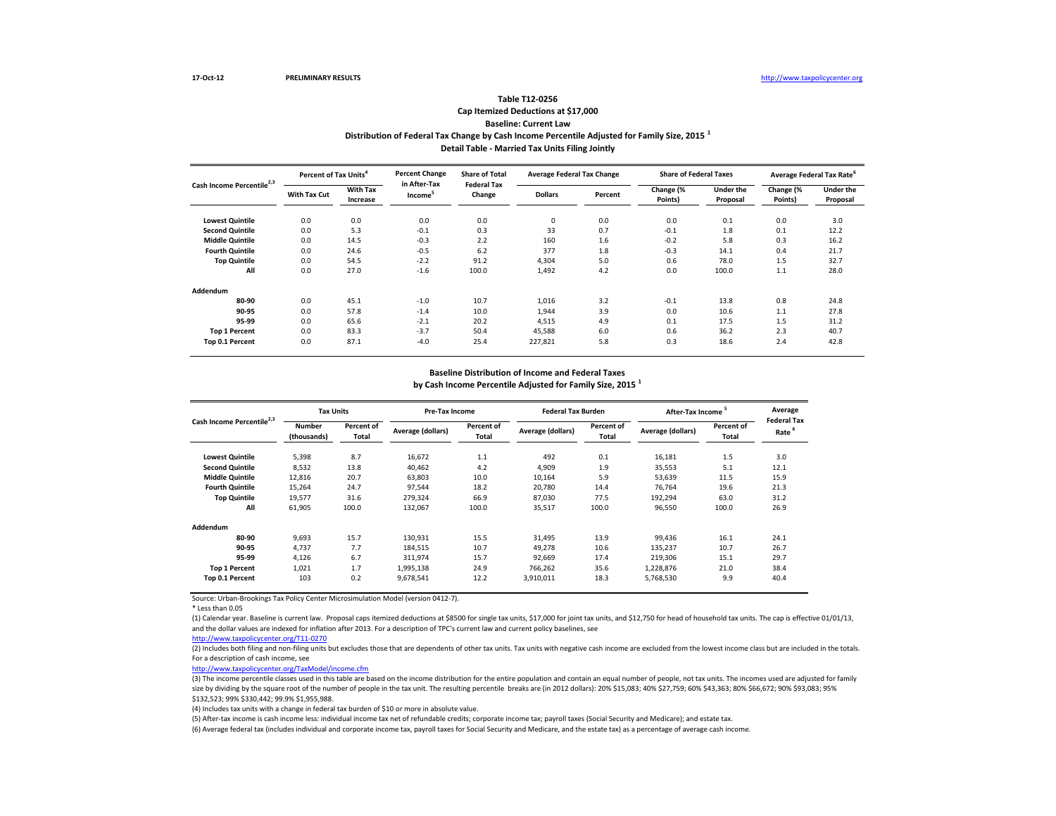# **Distribution of Federal Tax Change by Cash Income Percentile Adjusted for Family Size, 2015 <sup>1</sup> Detail Table - Married Tax Units Filing Jointly Table T12-0256 Cap Itemized Deductions at \$17,000 Baseline: Current Law**

| Cash Income Percentile <sup>2,3</sup> | Percent of Tax Units <sup>4</sup> |                             | <b>Percent Change</b><br>in After-Tax | <b>Share of Total</b><br><b>Federal Tax</b> | <b>Average Federal Tax Change</b> |         | <b>Share of Federal Taxes</b> |                              |                      | Average Federal Tax Rate     |
|---------------------------------------|-----------------------------------|-----------------------------|---------------------------------------|---------------------------------------------|-----------------------------------|---------|-------------------------------|------------------------------|----------------------|------------------------------|
|                                       | With Tax Cut                      | <b>With Tax</b><br>Increase | Income <sup>5</sup>                   | Change                                      | <b>Dollars</b>                    | Percent | Change (%<br>Points)          | <b>Under the</b><br>Proposal | Change (%<br>Points) | <b>Under the</b><br>Proposal |
| <b>Lowest Quintile</b>                | 0.0                               | 0.0                         | 0.0                                   | 0.0                                         | 0                                 | 0.0     | 0.0                           | 0.1                          | 0.0                  | 3.0                          |
| <b>Second Quintile</b>                | 0.0                               | 5.3                         | $-0.1$                                | 0.3                                         | 33                                | 0.7     | $-0.1$                        | 1.8                          | 0.1                  | 12.2                         |
| <b>Middle Quintile</b>                | 0.0                               | 14.5                        | $-0.3$                                | 2.2                                         | 160                               | 1.6     | $-0.2$                        | 5.8                          | 0.3                  | 16.2                         |
| <b>Fourth Quintile</b>                | 0.0                               | 24.6                        | $-0.5$                                | 6.2                                         | 377                               | 1.8     | $-0.3$                        | 14.1                         | 0.4                  | 21.7                         |
| <b>Top Quintile</b>                   | 0.0                               | 54.5                        | $-2.2$                                | 91.2                                        | 4,304                             | 5.0     | 0.6                           | 78.0                         | 1.5                  | 32.7                         |
| All                                   | 0.0                               | 27.0                        | $-1.6$                                | 100.0                                       | 1,492                             | 4.2     | 0.0                           | 100.0                        | $1.1$                | 28.0                         |
| Addendum                              |                                   |                             |                                       |                                             |                                   |         |                               |                              |                      |                              |
| 80-90                                 | 0.0                               | 45.1                        | $-1.0$                                | 10.7                                        | 1,016                             | 3.2     | $-0.1$                        | 13.8                         | 0.8                  | 24.8                         |
| 90-95                                 | 0.0                               | 57.8                        | $-1.4$                                | 10.0                                        | 1,944                             | 3.9     | 0.0                           | 10.6                         | $1.1$                | 27.8                         |
| 95-99                                 | 0.0                               | 65.6                        | $-2.1$                                | 20.2                                        | 4,515                             | 4.9     | 0.1                           | 17.5                         | 1.5                  | 31.2                         |
| <b>Top 1 Percent</b>                  | 0.0                               | 83.3                        | $-3.7$                                | 50.4                                        | 45,588                            | 6.0     | 0.6                           | 36.2                         | 2.3                  | 40.7                         |
| Top 0.1 Percent                       | 0.0                               | 87.1                        | $-4.0$                                | 25.4                                        | 227,821                           | 5.8     | 0.3                           | 18.6                         | 2.4                  | 42.8                         |

### **Baseline Distribution of Income and Federal Taxes**

**by Cash Income Percentile Adjusted for Family Size, 2015 <sup>1</sup>**

| Cash Income Percentile <sup>2,3</sup> |                              | <b>Tax Units</b>           |                   | Pre-Tax Income      |                   | <b>Federal Tax Burden</b> | <b>After-Tax Income</b> |                     | Average                                 |
|---------------------------------------|------------------------------|----------------------------|-------------------|---------------------|-------------------|---------------------------|-------------------------|---------------------|-----------------------------------------|
|                                       | <b>Number</b><br>(thousands) | Percent of<br><b>Total</b> | Average (dollars) | Percent of<br>Total | Average (dollars) | Percent of<br>Total       | Average (dollars)       | Percent of<br>Total | <b>Federal Tax</b><br>Rate <sup>6</sup> |
| <b>Lowest Quintile</b>                | 5,398                        | 8.7                        | 16,672            | 1.1                 | 492               | 0.1                       | 16,181                  | 1.5                 | 3.0                                     |
| <b>Second Quintile</b>                | 8,532                        | 13.8                       | 40.462            | 4.2                 | 4,909             | 1.9                       | 35,553                  | 5.1                 | 12.1                                    |
| <b>Middle Quintile</b>                | 12,816                       | 20.7                       | 63,803            | 10.0                | 10,164            | 5.9                       | 53,639                  | 11.5                | 15.9                                    |
| <b>Fourth Quintile</b>                | 15.264                       | 24.7                       | 97,544            | 18.2                | 20.780            | 14.4                      | 76.764                  | 19.6                | 21.3                                    |
| <b>Top Quintile</b>                   | 19,577                       | 31.6                       | 279,324           | 66.9                | 87.030            | 77.5                      | 192,294                 | 63.0                | 31.2                                    |
| All                                   | 61,905                       | 100.0                      | 132,067           | 100.0               | 35,517            | 100.0                     | 96,550                  | 100.0               | 26.9                                    |
| Addendum                              |                              |                            |                   |                     |                   |                           |                         |                     |                                         |
| 80-90                                 | 9.693                        | 15.7                       | 130,931           | 15.5                | 31.495            | 13.9                      | 99.436                  | 16.1                | 24.1                                    |
| 90-95                                 | 4.737                        | 7.7                        | 184,515           | 10.7                | 49,278            | 10.6                      | 135.237                 | 10.7                | 26.7                                    |
| 95-99                                 | 4.126                        | 6.7                        | 311,974           | 15.7                | 92.669            | 17.4                      | 219.306                 | 15.1                | 29.7                                    |
| <b>Top 1 Percent</b>                  | 1.021                        | 1.7                        | 1,995,138         | 24.9                | 766.262           | 35.6                      | 1,228,876               | 21.0                | 38.4                                    |
| Top 0.1 Percent                       | 103                          | 0.2                        | 9,678,541         | 12.2                | 3,910,011         | 18.3                      | 5,768,530               | 9.9                 | 40.4                                    |

Source: Urban-Brookings Tax Policy Center Microsimulation Model (version 0412-7).

\* Less than 0.05

(1) Calendar year. Baseline is current law. Proposal caps itemized deductions at \$8500 for single tax units, \$17,000 for joint tax units, and \$12,750 for head of household tax units. The cap is effective 01/01/13, and the dollar values are indexed for inflation after 2013. For a description of TPC's current law and current policy baselines, see

### [http://www.taxpolicycente](http://www.taxpolicycenter.org/T11-0270)r.org/T11-0270

(2) Includes both filing and non-filing units but excludes those that are dependents of other tax units. Tax units with negative cash income are excluded from the lowest income class but are included in the totals. For a description of cash income, see

[http://www.taxpolicycente](http://www.taxpolicycenter.org/TaxModel/income.cfm)r.org/TaxModel/income.cfm

(3) The income percentile classes used in this table are based on the income distribution for the entire population and contain an equal number of people, not tax units. The incomes used are adjusted for family size by dividing by the square root of the number of people in the tax unit. The resulting percentile breaks are (in 2012 dollars): 20% \$15,083; 40% \$27,759; 60% \$43,363; 80% \$66,672; 90% \$93,083; 80% \$66,672; 90% \$93,083; \$132,523; 99% \$330,442; 99.9% \$1,955,988.

(4) Includes tax units with a change in federal tax burden of \$10 or more in absolute value.

(5) After-tax income is cash income less: individual income tax net of refundable credits; corporate income tax; payroll taxes (Social Security and Medicare); and estate tax.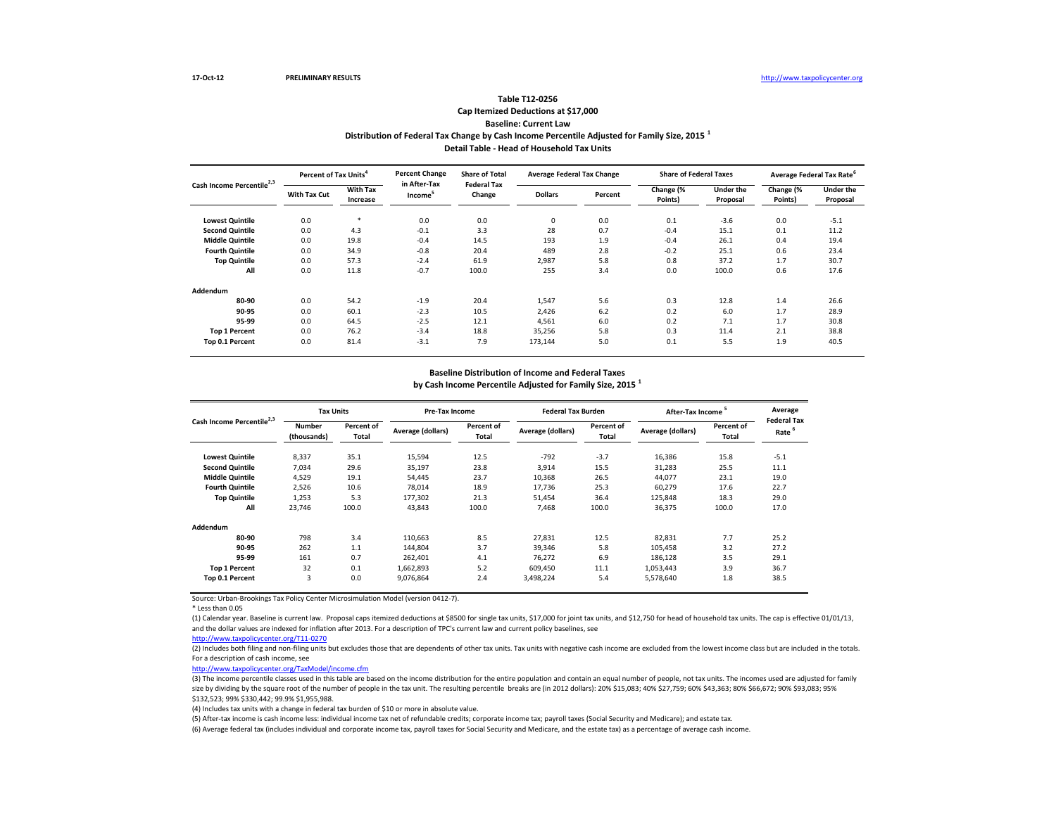# **Distribution of Federal Tax Change by Cash Income Percentile Adjusted for Family Size, 2015 <sup>1</sup> Detail Table - Head of Household Tax Units Table T12-0256 Cap Itemized Deductions at \$17,000 Baseline: Current Law**

| Cash Income Percentile <sup>2,3</sup> | Percent of Tax Units <sup>4</sup> |                             | <b>Percent Change</b><br>in After-Tax | <b>Share of Total</b><br><b>Federal Tax</b> | <b>Average Federal Tax Change</b> |         | <b>Share of Federal Taxes</b> |                              |                      | Average Federal Tax Rate <sup>6</sup> |
|---------------------------------------|-----------------------------------|-----------------------------|---------------------------------------|---------------------------------------------|-----------------------------------|---------|-------------------------------|------------------------------|----------------------|---------------------------------------|
|                                       | With Tax Cut                      | <b>With Tax</b><br>Increase | Income <sup>3</sup>                   | Change                                      | <b>Dollars</b>                    | Percent | Change (%<br>Points)          | <b>Under the</b><br>Proposal | Change (%<br>Points) | <b>Under the</b><br>Proposal          |
| <b>Lowest Quintile</b>                | 0.0                               | *                           | 0.0                                   | 0.0                                         | 0                                 | 0.0     | 0.1                           | $-3.6$                       | 0.0                  | $-5.1$                                |
| <b>Second Quintile</b>                | 0.0                               | 4.3                         | $-0.1$                                | 3.3                                         | 28                                | 0.7     | $-0.4$                        | 15.1                         | 0.1                  | 11.2                                  |
| <b>Middle Quintile</b>                | 0.0                               | 19.8                        | $-0.4$                                | 14.5                                        | 193                               | 1.9     | $-0.4$                        | 26.1                         | 0.4                  | 19.4                                  |
| <b>Fourth Quintile</b>                | 0.0                               | 34.9                        | $-0.8$                                | 20.4                                        | 489                               | 2.8     | $-0.2$                        | 25.1                         | 0.6                  | 23.4                                  |
| <b>Top Quintile</b>                   | 0.0                               | 57.3                        | $-2.4$                                | 61.9                                        | 2,987                             | 5.8     | 0.8                           | 37.2                         | 1.7                  | 30.7                                  |
| All                                   | 0.0                               | 11.8                        | $-0.7$                                | 100.0                                       | 255                               | 3.4     | 0.0                           | 100.0                        | 0.6                  | 17.6                                  |
| Addendum                              |                                   |                             |                                       |                                             |                                   |         |                               |                              |                      |                                       |
| 80-90                                 | 0.0                               | 54.2                        | $-1.9$                                | 20.4                                        | 1,547                             | 5.6     | 0.3                           | 12.8                         | 1.4                  | 26.6                                  |
| 90-95                                 | 0.0                               | 60.1                        | $-2.3$                                | 10.5                                        | 2,426                             | 6.2     | 0.2                           | 6.0                          | 1.7                  | 28.9                                  |
| 95-99                                 | 0.0                               | 64.5                        | $-2.5$                                | 12.1                                        | 4,561                             | 6.0     | 0.2                           | 7.1                          | 1.7                  | 30.8                                  |
| <b>Top 1 Percent</b>                  | 0.0                               | 76.2                        | $-3.4$                                | 18.8                                        | 35,256                            | 5.8     | 0.3                           | 11.4                         | 2.1                  | 38.8                                  |
| Top 0.1 Percent                       | 0.0                               | 81.4                        | $-3.1$                                | 7.9                                         | 173,144                           | 5.0     | 0.1                           | 5.5                          | 1.9                  | 40.5                                  |

### **Baseline Distribution of Income and Federal Taxes**

**by Cash Income Percentile Adjusted for Family Size, 2015 <sup>1</sup>**

| Cash Income Percentile <sup>2,3</sup> | <b>Tax Units</b>      |                     | Pre-Tax Income    |                     | <b>Federal Tax Burden</b> |                     | After-Tax Income  |                     | Average                                 |
|---------------------------------------|-----------------------|---------------------|-------------------|---------------------|---------------------------|---------------------|-------------------|---------------------|-----------------------------------------|
|                                       | Number<br>(thousands) | Percent of<br>Total | Average (dollars) | Percent of<br>Total | Average (dollars)         | Percent of<br>Total | Average (dollars) | Percent of<br>Total | <b>Federal Tax</b><br>Rate <sup>6</sup> |
| <b>Lowest Quintile</b>                | 8,337                 | 35.1                | 15,594            | 12.5                | $-792$                    | $-3.7$              | 16,386            | 15.8                | $-5.1$                                  |
| <b>Second Quintile</b>                | 7.034                 | 29.6                | 35.197            | 23.8                | 3,914                     | 15.5                | 31,283            | 25.5                | 11.1                                    |
| <b>Middle Quintile</b>                | 4,529                 | 19.1                | 54,445            | 23.7                | 10,368                    | 26.5                | 44,077            | 23.1                | 19.0                                    |
| <b>Fourth Quintile</b>                | 2,526                 | 10.6                | 78,014            | 18.9                | 17,736                    | 25.3                | 60,279            | 17.6                | 22.7                                    |
| <b>Top Quintile</b>                   | 1,253                 | 5.3                 | 177,302           | 21.3                | 51.454                    | 36.4                | 125,848           | 18.3                | 29.0                                    |
| All                                   | 23,746                | 100.0               | 43,843            | 100.0               | 7,468                     | 100.0               | 36,375            | 100.0               | 17.0                                    |
| Addendum                              |                       |                     |                   |                     |                           |                     |                   |                     |                                         |
| 80-90                                 | 798                   | 3.4                 | 110,663           | 8.5                 | 27,831                    | 12.5                | 82,831            | 7.7                 | 25.2                                    |
| 90-95                                 | 262                   | 1.1                 | 144,804           | 3.7                 | 39,346                    | 5.8                 | 105,458           | 3.2                 | 27.2                                    |
| 95-99                                 | 161                   | 0.7                 | 262,401           | 4.1                 | 76,272                    | 6.9                 | 186,128           | 3.5                 | 29.1                                    |
| <b>Top 1 Percent</b>                  | 32                    | 0.1                 | 1,662,893         | 5.2                 | 609.450                   | 11.1                | 1,053,443         | 3.9                 | 36.7                                    |
| Top 0.1 Percent                       | 3                     | 0.0                 | 9,076,864         | 2.4                 | 3,498,224                 | 5.4                 | 5,578,640         | 1.8                 | 38.5                                    |

Source: Urban-Brookings Tax Policy Center Microsimulation Model (version 0412-7).

\* Less than 0.05

(1) Calendar year. Baseline is current law. Proposal caps itemized deductions at \$8500 for single tax units, \$17,000 for joint tax units, and \$12,750 for head of household tax units. The cap is effective 01/01/13, and the dollar values are indexed for inflation after 2013. For a description of TPC's current law and current policy baselines, see

#### [http://www.taxpolicycente](http://www.taxpolicycenter.org/T11-0270)r.org/T11-0270

(2) Includes both filing and non-filing units but excludes those that are dependents of other tax units. Tax units with negative cash income are excluded from the lowest income class but are included in the totals. For a description of cash income, see

[http://www.taxpolicycente](http://www.taxpolicycenter.org/TaxModel/income.cfm)r.org/TaxModel/income.cfm

(3) The income percentile classes used in this table are based on the income distribution for the entire population and contain an equal number of people, not tax units. The incomes used are adjusted for family size by dividing by the square root of the number of people in the tax unit. The resulting percentile breaks are (in 2012 dollars): 20% \$15,083; 40% \$27,759; 60% \$43,363; 80% \$66,672; 90% \$93,083; 80% \$66,672; 90% \$93,083; \$132,523; 99% \$330,442; 99.9% \$1,955,988.

(4) Includes tax units with a change in federal tax burden of \$10 or more in absolute value.

(5) After-tax income is cash income less: individual income tax net of refundable credits; corporate income tax; payroll taxes (Social Security and Medicare); and estate tax.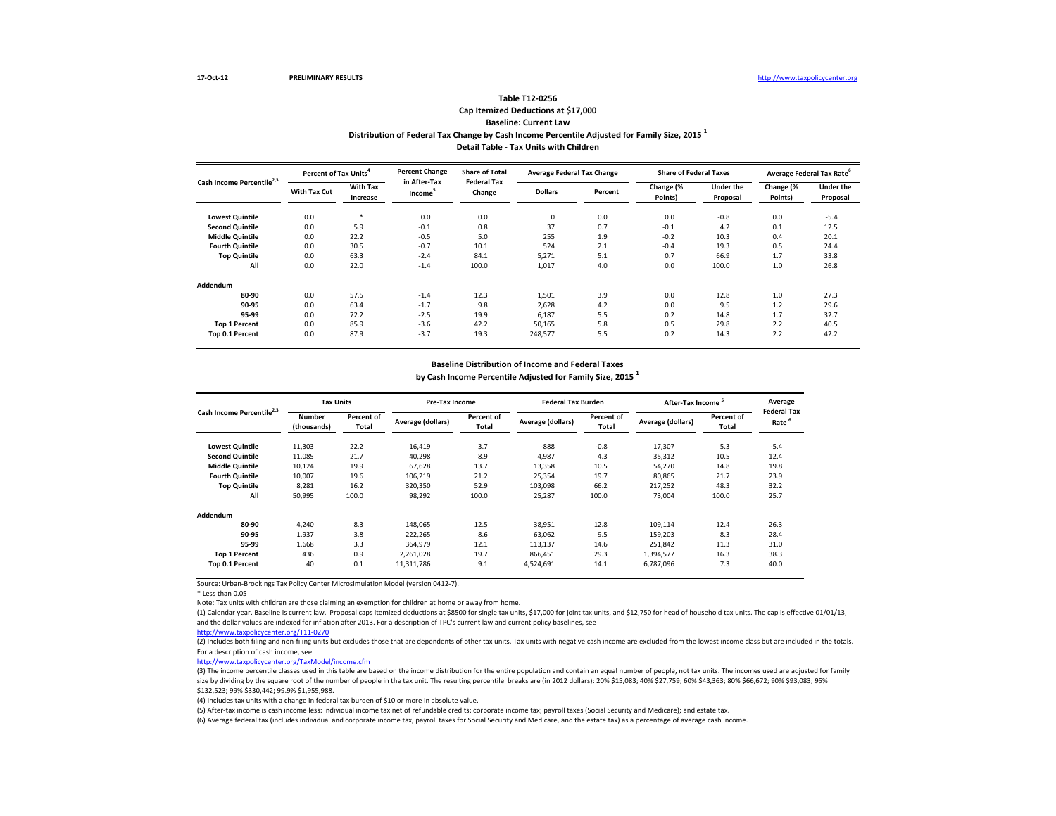## **Distribution of Federal Tax Change by Cash Income Percentile Adjusted for Family Size, 2015 <sup>1</sup> Detail Table - Tax Units with Children Table T12-0256 Cap Itemized Deductions at \$17,000 Baseline: Current Law**

| Cash Income Percentile <sup>2,3</sup> | Percent of Tax Units <sup>4</sup> |                             | <b>Percent Change</b><br>in After-Tax | <b>Share of Total</b><br><b>Federal Tax</b> | <b>Average Federal Tax Change</b> |         | <b>Share of Federal Taxes</b> |                              | Average Federal Tax Rate |                              |
|---------------------------------------|-----------------------------------|-----------------------------|---------------------------------------|---------------------------------------------|-----------------------------------|---------|-------------------------------|------------------------------|--------------------------|------------------------------|
|                                       | With Tax Cut                      | <b>With Tax</b><br>Increase | Income <sup>5</sup>                   | Change                                      | <b>Dollars</b>                    | Percent | Change (%<br>Points)          | <b>Under the</b><br>Proposal | Change (%<br>Points)     | <b>Under the</b><br>Proposal |
| <b>Lowest Quintile</b>                | 0.0                               | $\star$                     | 0.0                                   | 0.0                                         | 0                                 | 0.0     | 0.0                           | $-0.8$                       | 0.0                      | $-5.4$                       |
| <b>Second Quintile</b>                | 0.0                               | 5.9                         | $-0.1$                                | 0.8                                         | 37                                | 0.7     | $-0.1$                        | 4.2                          | 0.1                      | 12.5                         |
| <b>Middle Quintile</b>                | 0.0                               | 22.2                        | $-0.5$                                | 5.0                                         | 255                               | 1.9     | $-0.2$                        | 10.3                         | 0.4                      | 20.1                         |
| <b>Fourth Quintile</b>                | 0.0                               | 30.5                        | $-0.7$                                | 10.1                                        | 524                               | 2.1     | $-0.4$                        | 19.3                         | 0.5                      | 24.4                         |
| <b>Top Quintile</b>                   | 0.0                               | 63.3                        | $-2.4$                                | 84.1                                        | 5,271                             | 5.1     | 0.7                           | 66.9                         | 1.7                      | 33.8                         |
| All                                   | 0.0                               | 22.0                        | $-1.4$                                | 100.0                                       | 1,017                             | 4.0     | 0.0                           | 100.0                        | 1.0                      | 26.8                         |
| Addendum                              |                                   |                             |                                       |                                             |                                   |         |                               |                              |                          |                              |
| 80-90                                 | 0.0                               | 57.5                        | $-1.4$                                | 12.3                                        | 1,501                             | 3.9     | 0.0                           | 12.8                         | 1.0                      | 27.3                         |
| 90-95                                 | 0.0                               | 63.4                        | $-1.7$                                | 9.8                                         | 2,628                             | 4.2     | 0.0                           | 9.5                          | 1.2                      | 29.6                         |
| 95-99                                 | 0.0                               | 72.2                        | $-2.5$                                | 19.9                                        | 6,187                             | 5.5     | 0.2                           | 14.8                         | 1.7                      | 32.7                         |
| <b>Top 1 Percent</b>                  | 0.0                               | 85.9                        | $-3.6$                                | 42.2                                        | 50,165                            | 5.8     | 0.5                           | 29.8                         | 2.2                      | 40.5                         |
| Top 0.1 Percent                       | 0.0                               | 87.9                        | $-3.7$                                | 19.3                                        | 248,577                           | 5.5     | 0.2                           | 14.3                         | 2.2                      | 42.2                         |

### **Baseline Distribution of Income and Federal Taxes**

**by Cash Income Percentile Adjusted for Family Size, 2015 <sup>1</sup>**

| Cash Income Percentile <sup>2,3</sup> | <b>Tax Units</b>      |                     | Pre-Tax Income    |                     | <b>Federal Tax Burden</b> |                     | After-Tax Income  |                     | Average                    |
|---------------------------------------|-----------------------|---------------------|-------------------|---------------------|---------------------------|---------------------|-------------------|---------------------|----------------------------|
|                                       | Number<br>(thousands) | Percent of<br>Total | Average (dollars) | Percent of<br>Total | Average (dollars)         | Percent of<br>Total | Average (dollars) | Percent of<br>Total | <b>Federal Tax</b><br>Rate |
| <b>Lowest Quintile</b>                | 11,303                | 22.2                | 16,419            | 3.7                 | $-888$                    | $-0.8$              | 17,307            | 5.3                 | $-5.4$                     |
| <b>Second Quintile</b>                | 11,085                | 21.7                | 40.298            | 8.9                 | 4,987                     | 4.3                 | 35,312            | 10.5                | 12.4                       |
| <b>Middle Quintile</b>                | 10.124                | 19.9                | 67.628            | 13.7                | 13.358                    | 10.5                | 54.270            | 14.8                | 19.8                       |
| <b>Fourth Quintile</b>                | 10,007                | 19.6                | 106,219           | 21.2                | 25,354                    | 19.7                | 80,865            | 21.7                | 23.9                       |
| <b>Top Quintile</b>                   | 8,281                 | 16.2                | 320,350           | 52.9                | 103,098                   | 66.2                | 217.252           | 48.3                | 32.2                       |
| All                                   | 50,995                | 100.0               | 98,292            | 100.0               | 25,287                    | 100.0               | 73,004            | 100.0               | 25.7                       |
| Addendum                              |                       |                     |                   |                     |                           |                     |                   |                     |                            |
| 80-90                                 | 4,240                 | 8.3                 | 148,065           | 12.5                | 38,951                    | 12.8                | 109,114           | 12.4                | 26.3                       |
| 90-95                                 | 1,937                 | 3.8                 | 222,265           | 8.6                 | 63,062                    | 9.5                 | 159,203           | 8.3                 | 28.4                       |
| 95-99                                 | 1,668                 | 3.3                 | 364.979           | 12.1                | 113,137                   | 14.6                | 251,842           | 11.3                | 31.0                       |
| <b>Top 1 Percent</b>                  | 436                   | 0.9                 | 2,261,028         | 19.7                | 866.451                   | 29.3                | 1,394,577         | 16.3                | 38.3                       |
| Top 0.1 Percent                       | 40                    | 0.1                 | 11,311,786        | 9.1                 | 4,524,691                 | 14.1                | 6,787,096         | 7.3                 | 40.0                       |

Source: Urban-Brookings Tax Policy Center Microsimulation Model (version 0412-7).

\* Less than 0.05

Note: Tax units with children are those claiming an exemption for children at home or away from home.

(1) Calendar year. Baseline is current law. Proposal caps itemized deductions at \$8500 for single tax units, \$17,000 for joint tax units, and \$12,750 for head of household tax units. The cap is effective 01/01/13, and the dollar values are indexed for inflation after 2013. For a description of TPC's current law and current policy baselines, see

[http://www.taxpolicycente](http://www.taxpolicycenter.org/T11-0270)r.org/T11-0270

(2) Includes both filing and non-filing units but excludes those that are dependents of other tax units. Tax units with negative cash income are excluded from the lowest income class but are included in the totals. For a description of cash income, see

[http://www.taxpolicycente](http://www.taxpolicycenter.org/TaxModel/income.cfm)r.org/TaxModel/income.cfm

(3) The income percentile classes used in this table are based on the income distribution for the entire population and contain an equal number of people, not tax units. The incomes used are adjusted for family size by dividing by the square root of the number of people in the tax unit. The resulting percentile breaks are (in 2012 dollars): 20% \$15,083; 40% \$27,759; 60% \$43,363; 80% \$66,672; 90% \$93,083; 90% \$93,083; 90% \$93,083; \$132,523; 99% \$330,442; 99.9% \$1,955,988.

(4) Includes tax units with a change in federal tax burden of \$10 or more in absolute value.

(5) After-tax income is cash income less: individual income tax net of refundable credits; corporate income tax; payroll taxes (Social Security and Medicare); and estate tax.